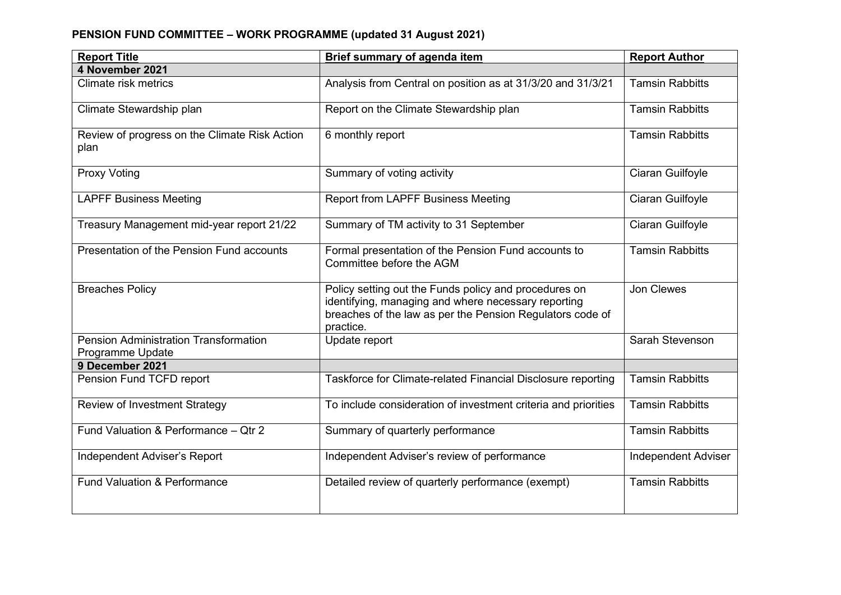## **PENSION FUND COMMITTEE – WORK PROGRAMME (updated 31 August 2021)**

| <b>Report Title</b>                                              | <b>Brief summary of agenda item</b>                                                                                                                                                    | <b>Report Author</b>       |
|------------------------------------------------------------------|----------------------------------------------------------------------------------------------------------------------------------------------------------------------------------------|----------------------------|
| 4 November 2021                                                  |                                                                                                                                                                                        |                            |
| Climate risk metrics                                             | Analysis from Central on position as at 31/3/20 and 31/3/21                                                                                                                            | <b>Tamsin Rabbitts</b>     |
| Climate Stewardship plan                                         | Report on the Climate Stewardship plan                                                                                                                                                 | <b>Tamsin Rabbitts</b>     |
| Review of progress on the Climate Risk Action<br>plan            | 6 monthly report                                                                                                                                                                       | <b>Tamsin Rabbitts</b>     |
| <b>Proxy Voting</b>                                              | Summary of voting activity                                                                                                                                                             | Ciaran Guilfoyle           |
| <b>LAPFF Business Meeting</b>                                    | <b>Report from LAPFF Business Meeting</b>                                                                                                                                              | Ciaran Guilfoyle           |
| Treasury Management mid-year report 21/22                        | Summary of TM activity to 31 September                                                                                                                                                 | Ciaran Guilfoyle           |
| Presentation of the Pension Fund accounts                        | Formal presentation of the Pension Fund accounts to<br>Committee before the AGM                                                                                                        | <b>Tamsin Rabbitts</b>     |
| <b>Breaches Policy</b>                                           | Policy setting out the Funds policy and procedures on<br>identifying, managing and where necessary reporting<br>breaches of the law as per the Pension Regulators code of<br>practice. | Jon Clewes                 |
| <b>Pension Administration Transformation</b><br>Programme Update | Update report                                                                                                                                                                          | Sarah Stevenson            |
| 9 December 2021                                                  |                                                                                                                                                                                        |                            |
| Pension Fund TCFD report                                         | Taskforce for Climate-related Financial Disclosure reporting                                                                                                                           | <b>Tamsin Rabbitts</b>     |
| <b>Review of Investment Strategy</b>                             | To include consideration of investment criteria and priorities                                                                                                                         | <b>Tamsin Rabbitts</b>     |
| Fund Valuation & Performance - Qtr 2                             | Summary of quarterly performance                                                                                                                                                       | <b>Tamsin Rabbitts</b>     |
| Independent Adviser's Report                                     | Independent Adviser's review of performance                                                                                                                                            | <b>Independent Adviser</b> |
| <b>Fund Valuation &amp; Performance</b>                          | Detailed review of quarterly performance (exempt)                                                                                                                                      | <b>Tamsin Rabbitts</b>     |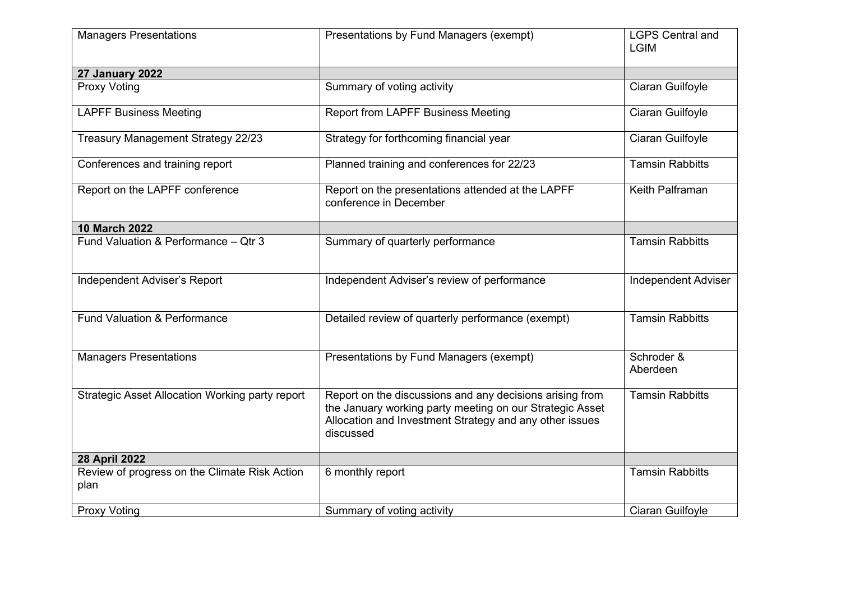| <b>Managers Presentations</b>                          | Presentations by Fund Managers (exempt)                                                                                                                                                      | <b>LGPS Central and</b><br><b>LGIM</b> |
|--------------------------------------------------------|----------------------------------------------------------------------------------------------------------------------------------------------------------------------------------------------|----------------------------------------|
| 27 January 2022                                        |                                                                                                                                                                                              |                                        |
| Proxy Voting                                           | Summary of voting activity                                                                                                                                                                   | Ciaran Guilfoyle                       |
| <b>LAPFF Business Meeting</b>                          | <b>Report from LAPFF Business Meeting</b>                                                                                                                                                    | Ciaran Guilfoyle                       |
| <b>Treasury Management Strategy 22/23</b>              | Strategy for forthcoming financial year                                                                                                                                                      | Ciaran Guilfoyle                       |
| Conferences and training report                        | Planned training and conferences for 22/23                                                                                                                                                   | <b>Tamsin Rabbitts</b>                 |
| Report on the LAPFF conference                         | Report on the presentations attended at the LAPFF<br>conference in December                                                                                                                  | Keith Palframan                        |
| <b>10 March 2022</b>                                   |                                                                                                                                                                                              |                                        |
| Fund Valuation & Performance - Qtr 3                   | Summary of quarterly performance                                                                                                                                                             | <b>Tamsin Rabbitts</b>                 |
| Independent Adviser's Report                           | Independent Adviser's review of performance                                                                                                                                                  | <b>Independent Adviser</b>             |
| <b>Fund Valuation &amp; Performance</b>                | Detailed review of quarterly performance (exempt)                                                                                                                                            | <b>Tamsin Rabbitts</b>                 |
| <b>Managers Presentations</b>                          | Presentations by Fund Managers (exempt)                                                                                                                                                      | Schroder &<br>Aberdeen                 |
| <b>Strategic Asset Allocation Working party report</b> | Report on the discussions and any decisions arising from<br>the January working party meeting on our Strategic Asset<br>Allocation and Investment Strategy and any other issues<br>discussed | <b>Tamsin Rabbitts</b>                 |
| 28 April 2022                                          |                                                                                                                                                                                              |                                        |
| Review of progress on the Climate Risk Action<br>plan  | 6 monthly report                                                                                                                                                                             | <b>Tamsin Rabbitts</b>                 |
| <b>Proxy Voting</b>                                    | Summary of voting activity                                                                                                                                                                   | Ciaran Guilfoyle                       |